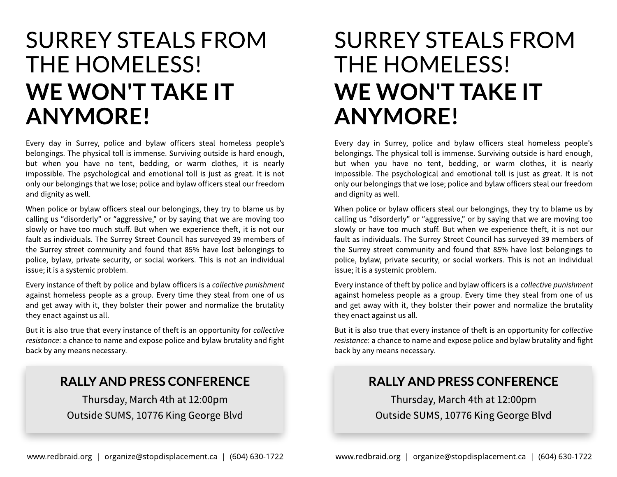## SURREY STEALSFROM THE HOMELESS! WE WON'T TAKE IT ANYMORE!

Every day in Surrey, police and bylaw officers steal homeless people?s belongings. The physical toll is immense. Surviving outside is hard enough, but when you have no tent, bedding, or warm clothes, it is nearly impossible. The psychological and emotional toll is just as great. It is not only our belongingsthat we lose; police and bylaw officers steal our freedom and dignity as well.

When police or bylaw officers steal our belongings, they try to blame us by calling us "disorderly" or "aggressive," or by saying that we are moving too slowly or have too much stuff. But when we experience theft, it is not our fault as individuals. The Surrey Street Council has surveyed 39 members of the Surrey street community and found that 85% have lost belongings to police, bylaw, private security, or social workers. This is not an individual issue; it is a systemic problem.

Every instance of theft by police and bylaw officers is a *collective punishment* against homeless people as a group. Every time they steal from one of us and get away with it, they bolster their power and normalize the brutality they enact against us all.

But it is also true that every instance of theft is an opportunity for **collective resistance**: a chance to name and expose police and bylaw brutality and fight back by any means necessary.

#### RALLY AND PRESS CONFERENCE

Thursday, March 4th at 12:00pm Outside SUMS, 10776 King George Blvd

# SURREY STEALSFROM THE HOMELESS! WE WON'T TAKE IT ANYMORE!

Every day in Surrey, police and bylaw officers steal homeless people?s belongings. The physical toll is immense. Surviving outside is hard enough, but when you have no tent, bedding, or warm clothes, it is nearly impossible. The psychological and emotional toll is just as great. It is not only our belongingsthat we lose; police and bylaw officers steal our freedom and dignity as well.

When police or bylaw officers steal our belongings, they try to blame us by calling us "disorderly" or "aggressive," or by saying that we are moving too slowly or have too much stuff. But when we experience theft, it is not our fault as individuals. The Surrey Street Council has surveyed 39 members of the Surrey street community and found that 85% have lost belongings to police, bylaw, private security, or social workers. This is not an individual issue; it is a systemic problem.

Every instance of theft by police and bylaw officers isa **collectivepunishment** against homeless people as a group. Every time they steal from one of us and get away with it, they bolster their power and normalize the brutality they enact against us all.

But it is also true that every instance of theft is an opportunity for **collective resistance**: a chance to name and expose police and bylaw brutality and fight back by any means necessary.

#### RALLY AND PRESS CONFERENCE

Thursday, March 4th at 12:00pm Outside SUMS, 10776 King George Blvd